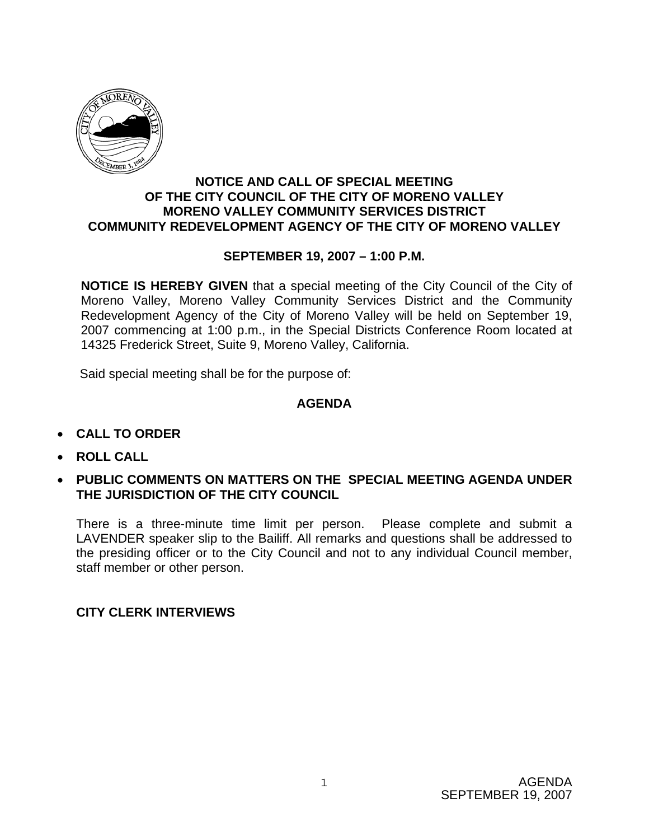

## **NOTICE AND CALL OF SPECIAL MEETING OF THE CITY COUNCIL OF THE CITY OF MORENO VALLEY MORENO VALLEY COMMUNITY SERVICES DISTRICT COMMUNITY REDEVELOPMENT AGENCY OF THE CITY OF MORENO VALLEY**

## **SEPTEMBER 19, 2007 – 1:00 P.M.**

**NOTICE IS HEREBY GIVEN** that a special meeting of the City Council of the City of Moreno Valley, Moreno Valley Community Services District and the Community Redevelopment Agency of the City of Moreno Valley will be held on September 19, 2007 commencing at 1:00 p.m., in the Special Districts Conference Room located at 14325 Frederick Street, Suite 9, Moreno Valley, California.

Said special meeting shall be for the purpose of:

## **AGENDA**

- **CALL TO ORDER**
- **ROLL CALL**
- **PUBLIC COMMENTS ON MATTERS ON THE SPECIAL MEETING AGENDA UNDER THE JURISDICTION OF THE CITY COUNCIL**

There is a three-minute time limit per person. Please complete and submit a LAVENDER speaker slip to the Bailiff. All remarks and questions shall be addressed to the presiding officer or to the City Council and not to any individual Council member, staff member or other person.

**CITY CLERK INTERVIEWS**